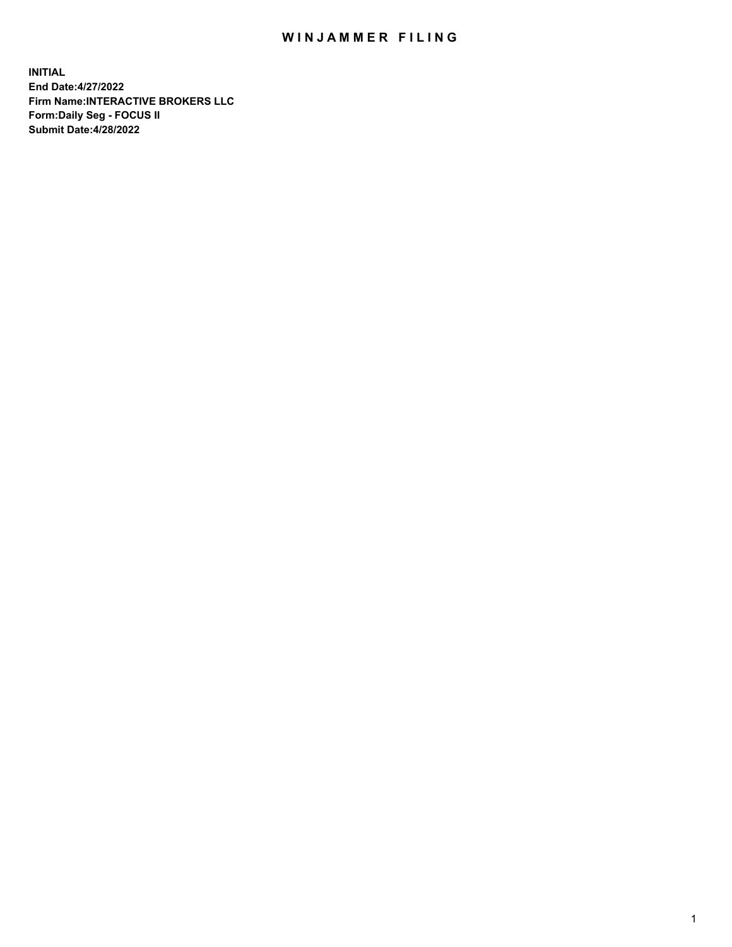## WIN JAMMER FILING

**INITIAL End Date:4/27/2022 Firm Name:INTERACTIVE BROKERS LLC Form:Daily Seg - FOCUS II Submit Date:4/28/2022**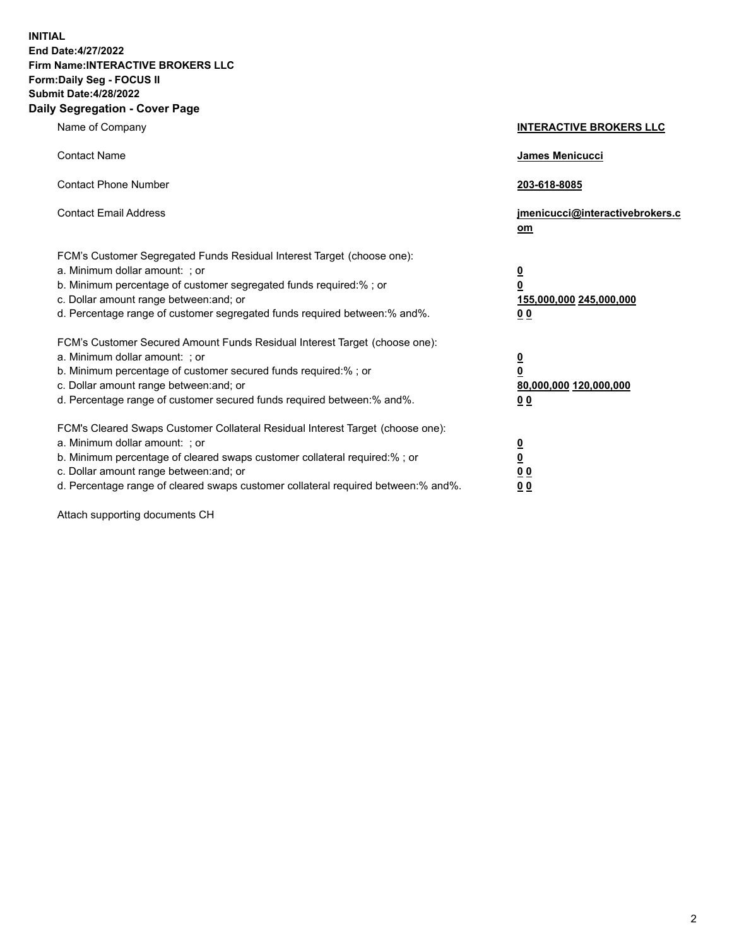**INITIAL End Date:4/27/2022 Firm Name:INTERACTIVE BROKERS LLC Form:Daily Seg - FOCUS II Submit Date:4/28/2022 Daily Segregation - Cover Page**

| Name of Company                                                                                                                                                                                                                                                                                                               | <b>INTERACTIVE BROKERS LLC</b>                                                                  |
|-------------------------------------------------------------------------------------------------------------------------------------------------------------------------------------------------------------------------------------------------------------------------------------------------------------------------------|-------------------------------------------------------------------------------------------------|
| <b>Contact Name</b>                                                                                                                                                                                                                                                                                                           | James Menicucci                                                                                 |
| <b>Contact Phone Number</b>                                                                                                                                                                                                                                                                                                   | 203-618-8085                                                                                    |
| <b>Contact Email Address</b>                                                                                                                                                                                                                                                                                                  | jmenicucci@interactivebrokers.c<br><u>om</u>                                                    |
| FCM's Customer Segregated Funds Residual Interest Target (choose one):<br>a. Minimum dollar amount: ; or<br>b. Minimum percentage of customer segregated funds required:% ; or<br>c. Dollar amount range between: and; or<br>d. Percentage range of customer segregated funds required between:% and%.                        | $\overline{\mathbf{0}}$<br>$\overline{\mathbf{0}}$<br>155,000,000 245,000,000<br>0 <sub>0</sub> |
| FCM's Customer Secured Amount Funds Residual Interest Target (choose one):<br>a. Minimum dollar amount: ; or<br>b. Minimum percentage of customer secured funds required:%; or<br>c. Dollar amount range between: and; or<br>d. Percentage range of customer secured funds required between:% and%.                           | $\overline{\mathbf{0}}$<br>$\overline{\mathbf{0}}$<br>80,000,000 120,000,000<br>0 <sub>0</sub>  |
| FCM's Cleared Swaps Customer Collateral Residual Interest Target (choose one):<br>a. Minimum dollar amount: ; or<br>b. Minimum percentage of cleared swaps customer collateral required:%; or<br>c. Dollar amount range between: and; or<br>d. Percentage range of cleared swaps customer collateral required between:% and%. | $\overline{\mathbf{0}}$<br>$\overline{\mathbf{0}}$<br>0 <sub>0</sub><br>0 <sub>0</sub>          |

Attach supporting documents CH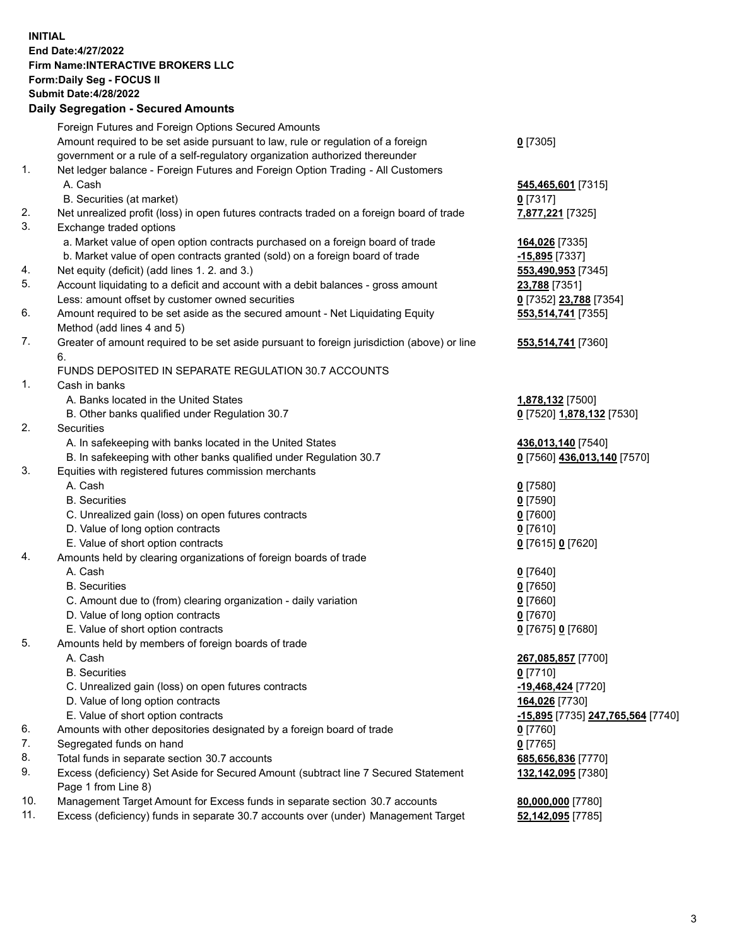**INITIAL End Date:4/27/2022 Firm Name:INTERACTIVE BROKERS LLC Form:Daily Seg - FOCUS II Submit Date:4/28/2022 Daily Segregation - Secured Amounts**

|     | Foreign Futures and Foreign Options Secured Amounts                                         |                                   |
|-----|---------------------------------------------------------------------------------------------|-----------------------------------|
|     | Amount required to be set aside pursuant to law, rule or regulation of a foreign            | $0$ [7305]                        |
|     | government or a rule of a self-regulatory organization authorized thereunder                |                                   |
| 1.  | Net ledger balance - Foreign Futures and Foreign Option Trading - All Customers             |                                   |
|     | A. Cash                                                                                     | 545,465,601 [7315]                |
|     | B. Securities (at market)                                                                   | $0$ [7317]                        |
| 2.  | Net unrealized profit (loss) in open futures contracts traded on a foreign board of trade   | 7,877,221 [7325]                  |
| 3.  | Exchange traded options                                                                     |                                   |
|     | a. Market value of open option contracts purchased on a foreign board of trade              | 164,026 [7335]                    |
|     | b. Market value of open contracts granted (sold) on a foreign board of trade                | -15,895 [7337]                    |
| 4.  | Net equity (deficit) (add lines 1. 2. and 3.)                                               | 553,490,953 [7345]                |
| 5.  | Account liquidating to a deficit and account with a debit balances - gross amount           | 23,788 [7351]                     |
|     | Less: amount offset by customer owned securities                                            | 0 [7352] 23,788 [7354]            |
| 6.  | Amount required to be set aside as the secured amount - Net Liquidating Equity              | 553,514,741 [7355]                |
|     | Method (add lines 4 and 5)                                                                  |                                   |
| 7.  | Greater of amount required to be set aside pursuant to foreign jurisdiction (above) or line | 553,514,741 [7360]                |
|     | 6.                                                                                          |                                   |
|     | FUNDS DEPOSITED IN SEPARATE REGULATION 30.7 ACCOUNTS                                        |                                   |
| 1.  | Cash in banks                                                                               |                                   |
|     | A. Banks located in the United States                                                       | 1,878,132 [7500]                  |
|     | B. Other banks qualified under Regulation 30.7                                              | 0 [7520] 1,878,132 [7530]         |
| 2.  | Securities                                                                                  |                                   |
|     | A. In safekeeping with banks located in the United States                                   | 436,013,140 [7540]                |
|     | B. In safekeeping with other banks qualified under Regulation 30.7                          | 0 [7560] 436,013,140 [7570]       |
| 3.  | Equities with registered futures commission merchants                                       |                                   |
|     | A. Cash                                                                                     | $0$ [7580]                        |
|     | <b>B.</b> Securities                                                                        | $0$ [7590]                        |
|     | C. Unrealized gain (loss) on open futures contracts                                         | $0$ [7600]                        |
|     | D. Value of long option contracts                                                           | $0$ [7610]                        |
|     | E. Value of short option contracts                                                          | 0 [7615] 0 [7620]                 |
| 4.  | Amounts held by clearing organizations of foreign boards of trade                           |                                   |
|     | A. Cash                                                                                     | $0$ [7640]                        |
|     | <b>B.</b> Securities                                                                        | $0$ [7650]                        |
|     | C. Amount due to (from) clearing organization - daily variation                             | $0$ [7660]                        |
|     | D. Value of long option contracts                                                           | $0$ [7670]                        |
|     | E. Value of short option contracts                                                          | 0 [7675] 0 [7680]                 |
| 5.  | Amounts held by members of foreign boards of trade                                          |                                   |
|     | A. Cash                                                                                     | 267,085,857 [7700]                |
|     | <b>B.</b> Securities                                                                        | $0$ [7710]                        |
|     | C. Unrealized gain (loss) on open futures contracts                                         | -19,468,424 [7720]                |
|     | D. Value of long option contracts                                                           | 164,026 [7730]                    |
|     | E. Value of short option contracts                                                          | -15,895 [7735] 247,765,564 [7740] |
| 6.  | Amounts with other depositories designated by a foreign board of trade                      | $0$ [7760]                        |
| 7.  | Segregated funds on hand                                                                    | $0$ [7765]                        |
| 8.  | Total funds in separate section 30.7 accounts                                               | 685,656,836 [7770]                |
| 9.  | Excess (deficiency) Set Aside for Secured Amount (subtract line 7 Secured Statement         | 132,142,095 [7380]                |
|     | Page 1 from Line 8)                                                                         |                                   |
| 10. | Management Target Amount for Excess funds in separate section 30.7 accounts                 | 80,000,000 [7780]                 |
| 11. | Excess (deficiency) funds in separate 30.7 accounts over (under) Management Target          | 52,142,095 [7785]                 |
|     |                                                                                             |                                   |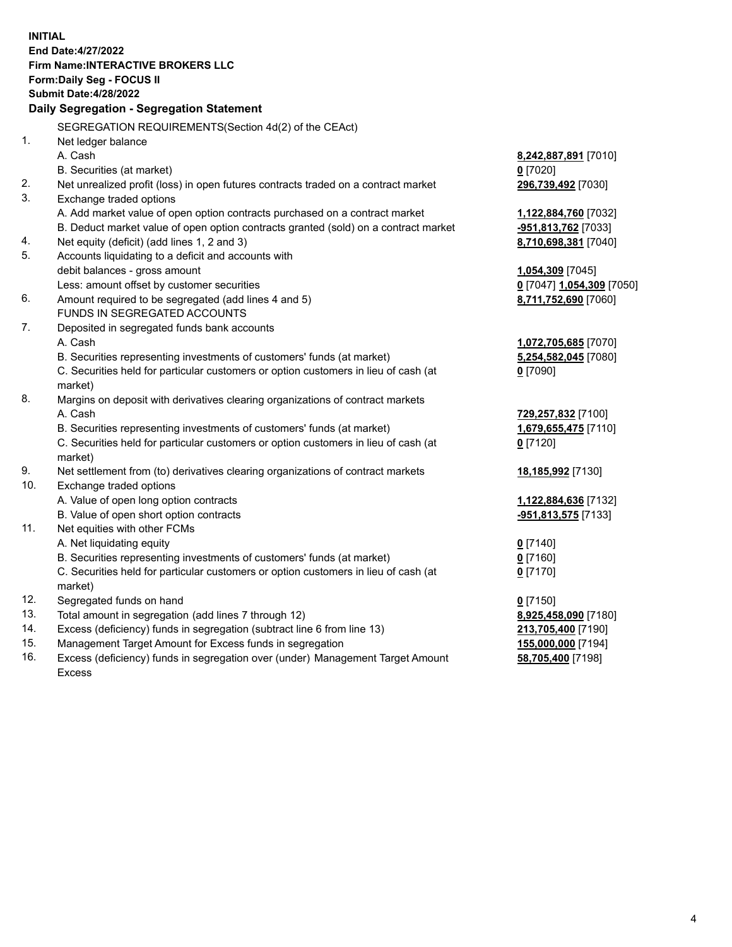**INITIAL End Date:4/27/2022 Firm Name:INTERACTIVE BROKERS LLC Form:Daily Seg - FOCUS II Submit Date:4/28/2022 Daily Segregation - Segregation Statement** SEGREGATION REQUIREMENTS(Section 4d(2) of the CEAct) 1. Net ledger balance A. Cash **8,242,887,891** [7010] B. Securities (at market) **0** [7020] 2. Net unrealized profit (loss) in open futures contracts traded on a contract market **296,739,492** [7030] 3. Exchange traded options A. Add market value of open option contracts purchased on a contract market **1,122,884,760** [7032] B. Deduct market value of open option contracts granted (sold) on a contract market **-951,813,762** [7033] 4. Net equity (deficit) (add lines 1, 2 and 3) **8,710,698,381** [7040] 5. Accounts liquidating to a deficit and accounts with debit balances - gross amount **1,054,309** [7045] Less: amount offset by customer securities **0** [7047] **1,054,309** [7050] 6. Amount required to be segregated (add lines 4 and 5) **8,711,752,690** [7060] FUNDS IN SEGREGATED ACCOUNTS 7. Deposited in segregated funds bank accounts A. Cash **1,072,705,685** [7070] B. Securities representing investments of customers' funds (at market) **5,254,582,045** [7080] C. Securities held for particular customers or option customers in lieu of cash (at market) **0** [7090] 8. Margins on deposit with derivatives clearing organizations of contract markets A. Cash **729,257,832** [7100] B. Securities representing investments of customers' funds (at market) **1,679,655,475** [7110] C. Securities held for particular customers or option customers in lieu of cash (at market) **0** [7120] 9. Net settlement from (to) derivatives clearing organizations of contract markets **18,185,992** [7130] 10. Exchange traded options A. Value of open long option contracts **1,122,884,636** [7132] B. Value of open short option contracts **-951,813,575** [7133] 11. Net equities with other FCMs A. Net liquidating equity **0** [7140] B. Securities representing investments of customers' funds (at market) **0** [7160] C. Securities held for particular customers or option customers in lieu of cash (at market) **0** [7170] 12. Segregated funds on hand **0** [7150] 13. Total amount in segregation (add lines 7 through 12) **8,925,458,090** [7180] 14. Excess (deficiency) funds in segregation (subtract line 6 from line 13) **213,705,400** [7190] 15. Management Target Amount for Excess funds in segregation **155,000,000** [7194] 16. Excess (deficiency) funds in segregation over (under) Management Target Amount **58,705,400** [7198]

Excess